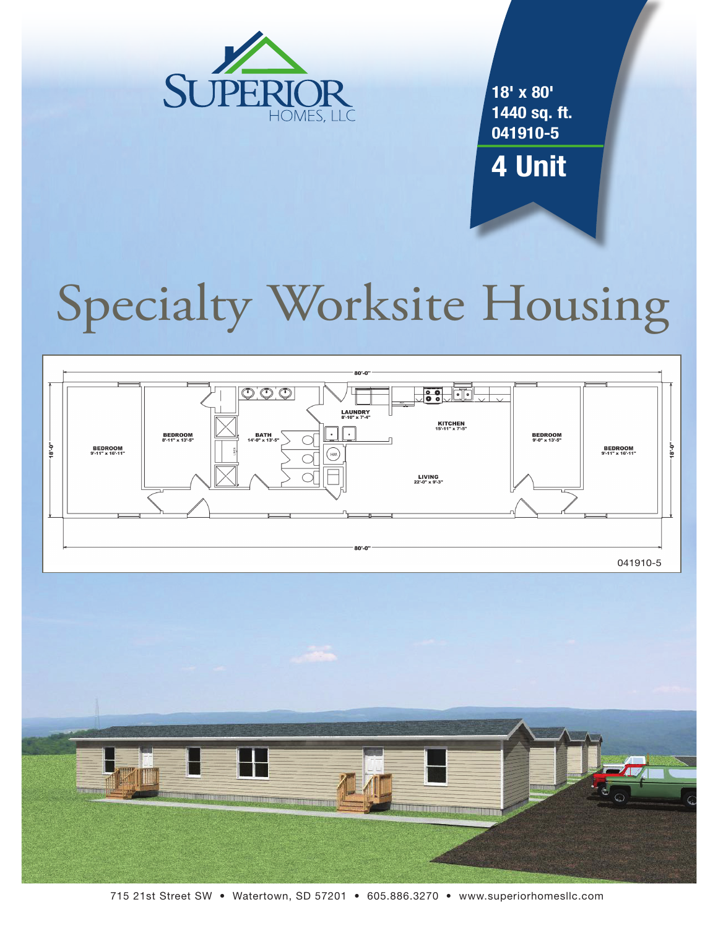

**18' x 80' 1440 sq. ft. 041910-5**

**4 Unit**

# Specialty Worksite Housing





715 21st Street SW • Watertown, SD 57201 • 605.886.3270 • www.superiorhomesllc.com